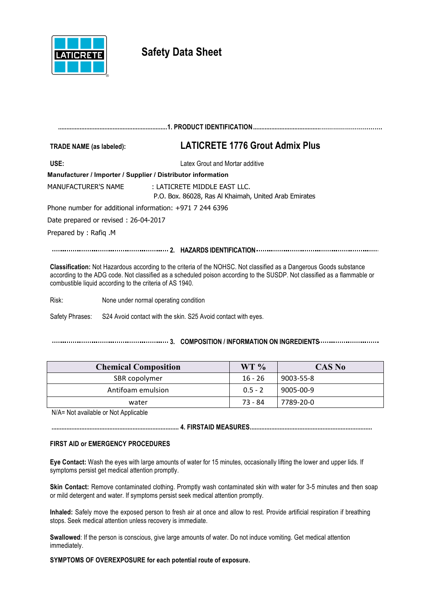

# **Safety Data Sheet**

| <b>TRADE NAME (as labeled):</b>                              | <b>LATICRETE 1776 Grout Admix Plus</b>                                                                                                                                                                                                          |
|--------------------------------------------------------------|-------------------------------------------------------------------------------------------------------------------------------------------------------------------------------------------------------------------------------------------------|
| USE:                                                         | Latex Grout and Mortar additive                                                                                                                                                                                                                 |
| Manufacturer / Importer / Supplier / Distributor information |                                                                                                                                                                                                                                                 |
| MANUFACTURER'S NAME                                          | $:$ I ATICRETE MIDDI E FAST I I C.<br>P.O. Box. 86028, Ras Al Khaimah, United Arab Emirates                                                                                                                                                     |
| Phone number for additional information: +971 7 244 6396     |                                                                                                                                                                                                                                                 |
| Date prepared or revised: 26-04-2017                         |                                                                                                                                                                                                                                                 |
| Prepared by : Rafiq .M                                       |                                                                                                                                                                                                                                                 |
|                                                              |                                                                                                                                                                                                                                                 |
| combustible liquid according to the criteria of AS 1940.     | Classification: Not Hazardous according to the criteria of the NOHSC. Not classified as a Dangerous Goods substance<br>according to the ADG code. Not classified as a scheduled poison according to the SUSDP. Not classified as a flammable or |

Risk: None under normal operating condition

Safety Phrases: S24 Avoid contact with the skin. S25 Avoid contact with eyes.

## **3. COMPOSITION / INFORMATION ON INGREDIENTS**

| <b>Chemical Composition</b> | $WT \%$   | <b>CAS No</b> |
|-----------------------------|-----------|---------------|
| SBR copolymer               | $16 - 26$ | 9003-55-8     |
| Antifoam emulsion           | $0.5 - 2$ | 9005-00-9     |
| water                       | 73 - 84   | 7789-20-0     |

N/A= Not available or Not Applicable

**............................................................................. 4. FIRSTAID MEASURES..........................................................................**

## **FIRST AID or EMERGENCY PROCEDURES**

**Eye Contact:** Wash the eyes with large amounts of water for 15 minutes, occasionally lifting the lower and upper lids. If symptoms persist get medical attention promptly.

**Skin Contact:** Remove contaminated clothing. Promptly wash contaminated skin with water for 3-5 minutes and then soap or mild detergent and water. If symptoms persist seek medical attention promptly.

**Inhaled:** Safely move the exposed person to fresh air at once and allow to rest. Provide artificial respiration if breathing stops. Seek medical attention unless recovery is immediate.

**Swallowed**: If the person is conscious, give large amounts of water. Do not induce vomiting. Get medical attention immediately.

**SYMPTOMS OF OVEREXPOSURE for each potential route of exposure.**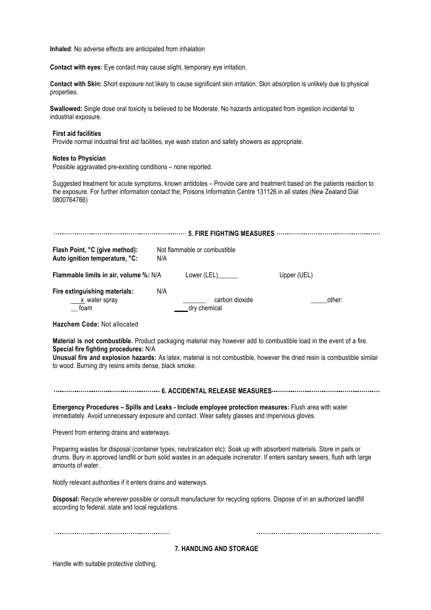**Inhaled**: No adverse effects are anticipated from inhalation

**Contact with eyes:** Eye contact may cause slight, temporary eye irritation.

**Contact with Skin:** Short exposure not likely to cause significant skin irritation. Skin absorption is unlikely due to physical properties.

**Swallowed:** Single dose oral toxicity is believed to be Moderate. No hazards anticipated from ingestion incidental to industrial exposure.

### **First aid facilities**

Provide normal industrial first aid facilities, eye wash station and safety showers as appropriate.

### **Notes to Physician**

Possible aggravated pre-existing conditions – none reported.

Suggested treatment for acute symptoms, known antidotes – Provide care and treatment based on the patients reaction to the exposure. For further information contact the; Poisons Information Centre 131126 in all states (New Zealand Dial 0800764766)

| Flash Point, °C (give method):<br>Auto ignition temperature, °C:                                                                                                                                                                                                                                                                                   | N/A | Not flammable or combustible |                |  |             |        |  |
|----------------------------------------------------------------------------------------------------------------------------------------------------------------------------------------------------------------------------------------------------------------------------------------------------------------------------------------------------|-----|------------------------------|----------------|--|-------------|--------|--|
| Flammable limits in air, volume %: N/A                                                                                                                                                                                                                                                                                                             |     |                              |                |  | Upper (UEL) |        |  |
| Fire extinguishing materials:<br>x water spray<br>foam                                                                                                                                                                                                                                                                                             | N/A | dry chemical                 | carbon dioxide |  |             | other: |  |
| Hazchem Code: Not allocated                                                                                                                                                                                                                                                                                                                        |     |                              |                |  |             |        |  |
| Material is not combustible. Product packaging material may however add to combustible load in the event of a fire.<br>Special fire fighting procedures: N/A<br>Unusual fire and explosion hazards: As latex, material is not combustible, however the dried resin is combustible similar<br>to wood. Burning dry resins emits dense, black smoke. |     |                              |                |  |             |        |  |
| Emergency Procedures - Spills and Leaks - Include employee protection measures: Flush area with water                                                                                                                                                                                                                                              |     |                              |                |  |             |        |  |
| immediately. Avoid unnecessary exposure and contact. Wear safety glasses and impervious gloves.                                                                                                                                                                                                                                                    |     |                              |                |  |             |        |  |
| Prevent from entering drains and waterways.                                                                                                                                                                                                                                                                                                        |     |                              |                |  |             |        |  |
| Preparing wastes for disposal (container types, neutralization etc): Soak up with absorbent materials. Store in pails or<br>drums. Bury in approved landfill or burn solid wastes in an adequate incinerator. If enters sanitary sewers, flush with large<br>amounts of water.                                                                     |     |                              |                |  |             |        |  |
| Notify relevant authorities if it enters drains and waterways.                                                                                                                                                                                                                                                                                     |     |                              |                |  |             |        |  |
| Disposal: Recycle wherever possible or consult manufacturer for recycling options. Dispose of in an authorized landfill<br>according to federal, state and local regulations.                                                                                                                                                                      |     |                              |                |  |             |        |  |
|                                                                                                                                                                                                                                                                                                                                                    |     |                              |                |  |             |        |  |

**7. HANDLING AND STORAGE**

Handle with suitable protective clothing.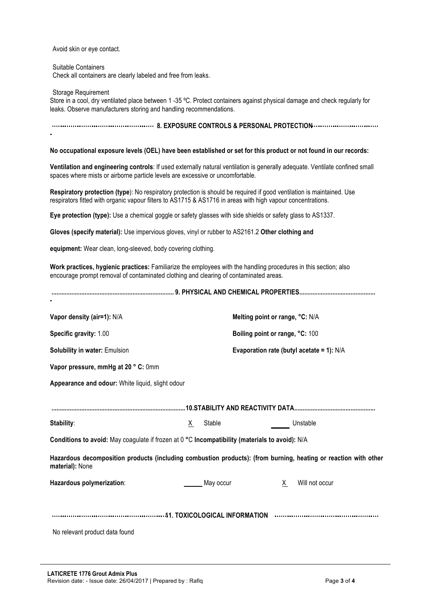Avoid skin or eye contact.

Suitable Containers Check all containers are clearly labeled and free from leaks.

Storage Requirement

**-**

Store in a cool, dry ventilated place between 1 -35 ºC. Protect containers against physical damage and check regularly for leaks. Observe manufacturers storing and handling recommendations.

**8. EXPOSURE CONTROLS & PERSONAL PROTECTION**

**No occupational exposure levels (OEL) have been established or set for this product or not found in our records:**

**Ventilation and engineering controls**: If used externally natural ventilation is generally adequate. Ventilate confined small spaces where mists or airborne particle levels are excessive or uncomfortable.

**Respiratory protection (type**): No respiratory protection is should be required if good ventilation is maintained. Use respirators fitted with organic vapour filters to AS1715 & AS1716 in areas with high vapour concentrations.

**Eye protection (type):** Use a chemical goggle or safety glasses with side shields or safety glass to AS1337.

**Gloves (specify material):** Use impervious gloves, vinyl or rubber to AS2161.2 **Other clothing and** 

**equipment:** Wear clean, long-sleeved, body covering clothing.

**Work practices, hygienic practices:** Familiarize the employees with the handling procedures in this section; also encourage prompt removal of contaminated clothing and clearing of contaminated areas.

| Vapor density (air=1): N/A                                                                                                         |    |                                           | Melting point or range, °C: N/A |                |  |
|------------------------------------------------------------------------------------------------------------------------------------|----|-------------------------------------------|---------------------------------|----------------|--|
| Specific gravity: 1.00                                                                                                             |    | Boiling point or range, °C: 100           |                                 |                |  |
| <b>Solubility in water: Emulsion</b>                                                                                               |    | Evaporation rate (butyl acetate = 1): N/A |                                 |                |  |
| Vapor pressure, mmHg at 20 ° C: 0mm                                                                                                |    |                                           |                                 |                |  |
| Appearance and odour: White liquid, slight odour                                                                                   |    |                                           |                                 |                |  |
|                                                                                                                                    |    |                                           |                                 |                |  |
| Stability:                                                                                                                         | X. | Stable                                    |                                 | Unstable       |  |
| Conditions to avoid: May coagulate if frozen at 0 °C Incompatibility (materials to avoid): N/A                                     |    |                                           |                                 |                |  |
| Hazardous decomposition products (including combustion products): (from burning, heating or reaction with other<br>material): None |    |                                           |                                 |                |  |
| Hazardous polymerization:                                                                                                          |    | May occur                                 | X.                              | Will not occur |  |
| No relevant product data found                                                                                                     |    |                                           |                                 |                |  |